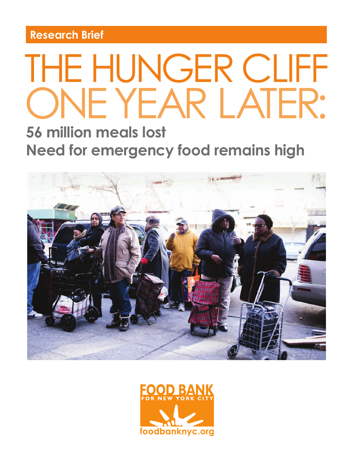**Research Brief**

# THE HUNGER CLIFF ONE YEAR LATER:

# **56 million meals lost Need for emergency food remains high**



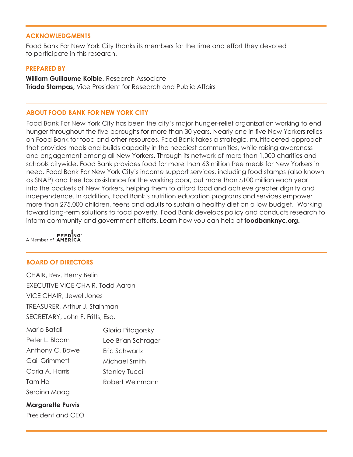#### **ACKNOWLEDGMENTS**

Food Bank For New York City thanks its members for the time and effort they devoted to participate in this research.

#### **PREPARED BY**

**William Guillaume Koible,** Research Associate **Triada Stampas,** Vice President for Research and Public Affairs

#### **ABOUT FOOD BANK FOR NEW YORK CITY**

Food Bank For New York City has been the city's major hunger-relief organization working to end hunger throughout the five boroughs for more than 30 years. Nearly one in five New Yorkers relies on Food Bank for food and other resources. Food Bank takes a strategic, multifaceted approach that provides meals and builds capacity in the neediest communities, while raising awareness and engagement among all New Yorkers. Through its network of more than 1,000 charities and schools citywide, Food Bank provides food for more than 63 million free meals for New Yorkers in need. Food Bank For New York City's income support services, including food stamps (also known as SNAP) and free tax assistance for the working poor, put more than \$100 million each year into the pockets of New Yorkers, helping them to afford food and achieve greater dignity and independence. In addition, Food Bank's nutrition education programs and services empower more than 275,000 children, teens and adults to sustain a healthy diet on a low budget. Working toward long-term solutions to food poverty, Food Bank develops policy and conducts research to inform community and government efforts. Learn how you can help at **foodbanknyc.org.**



#### **BOARD OF DIRECTORS**

CHAIR, Rev. Henry Belin EXECUTIVE VICE CHAIR, Todd Aaron VICE CHAIR, Jewel Jones TREASURER, Arthur J. Stainman SECRETARY, John F. Fritts, Esq.

| Mario Batali    | Gloria Pitagorsky    |
|-----------------|----------------------|
| Peter L. Bloom  | Lee Brian Schrager   |
| Anthony C. Bowe | Fric Schwartz        |
| Gail Grimmett   | Michael Smith        |
| Carla A. Harris | <b>Stanley Tucci</b> |
| Tam Ho          | Robert Weinmann      |
| Seraina Maag    |                      |

#### **Margarette Purvis**

President and CEO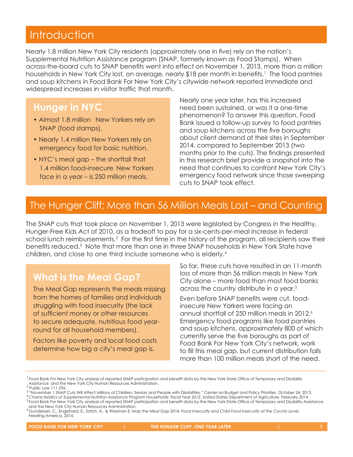# **Introduction**

Nearly 1.8 million New York City residents (approximately one in five) rely on the nation's Supplemental Nutrition Assistance program (SNAP, formerly known as Food Stamps). When across-the-board cuts to SNAP benefits went into effect on November 1, 2013, more than a million households in New York City lost, on average, nearly \$18 per month in benefits.<sup>1</sup> The food pantries and soup kitchens in Food Bank For New York City's citywide network reported immediate and widespread increases in visitor traffic that month.

### **Hunger in NYC**

- Almost 1.8 million New Yorkers rely on SNAP (food stamps).
- Nearly 1.4 million New Yorkers rely on emergency food for basic nutrition.
- NYC's meal gap the shortfall that 1.4 million food-insecure New Yorkers face in a year – is 250 million meals.

Nearly one year later, has this increased need been sustained, or was it a one-time phenomenon? To answer this question, Food Bank issued a follow-up survey to food pantries and soup kitchens across the five boroughs about client demand at their sites in September 2014, compared to September 2013 (two months prior to the cuts). The findings presented in this research brief provide a snapshot into the need that continues to confront New York City's emergency food network since those sweeping cuts to SNAP took effect.

## The Hunger Cliff: More than 56 Million Meals Lost – and Counting

The SNAP cuts that took place on November 1, 2013 were legislated by Congress in the Healthy, Hunger-Free Kids Act of 2010, as a tradeoff to pay for a six-cents-per-meal increase in federal school lunch reimbursements.<sup>2</sup> For the first time in the history of the program, all recipients saw their benefits reduced.<sup>3</sup> Note that more than one in three SNAP households in New York State have children, and close to one third include someone who is elderly.4

## **What is the Meal Gap?**

The Meal Gap represents the meals missing from the homes of families and individuals struggling with food insecurity (the lack of sufficient money or other resources to secure adequate, nutritious food yearround for all household members).

Factors like poverty and local food costs determine how big a city's meal gap is.

So far, these cuts have resulted in an 11-month loss of more than 56 million meals in New York City alone – more food than most food banks across the country distribute in a year.<sup>5</sup>

Even before SNAP benefits were cut, foodinsecure New Yorkers were facing an annual shortfall of 250 million meals in 2012.6 Emergency food programs like food pantries and soup kitchens, approximately 800 of which currently serve the five boroughs as part of Food Bank For New York City's network, work to fill this meal gap, but current distribution falls more than 100 million meals short of the need.

<sup>&</sup>lt;sup>1</sup> Food Bank For New York City analysis of reported SNAP participation and benefit data by the New York State Office of Temporary and Disability Assistance and the New York City Human Resources Administration. <sup>2</sup>

<sup>2</sup> Public Law 111-296.<br><sup>3</sup> "November 1 SNAP Cuts Will Affect Millions of Children, Seniors and People with Disabilities." Center on Budget and Policy Priorities. October 24, 2013.

<sup>&</sup>quot; Characteristics of Supplemental Nutrition Assistance Program Households: Fiscal Year 2012. United States Department of Agriculture. February 2014.<br><sup>5</sup> Food Bank For New York City analysis of reported SNAP participation a

and the New York City Human Resources Administration. <sup>6</sup> Gundersen, C., Engelhard, E., Satoh, A., & Waxman E. *Map the Meal Gap 2014: Food Insecurity and Child Food Insecurity at the County Level.*

Feeding America, 2014.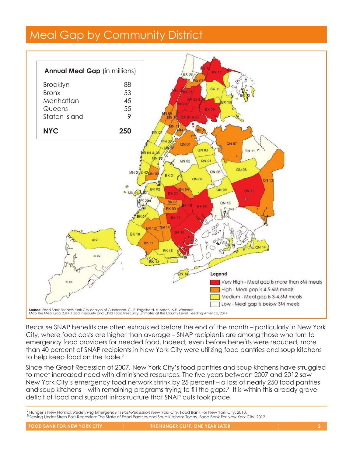# Meal Gap by Community District **Meal Gap by Community District**



emorgency rood providers for hooded food: indeed, even before befroms were redected, more than 40 percent of SNAP recipients in New York City were utilizing food pantries and soup kitchens to help keep food on the table.<sup>7</sup> Because SNAP benefits are often exhausted before the end of the month – particularly in New York Feeding America, 2014. SNAP recipients in New York City were utilizing food pantries and soup kitchens to help keep food on the City, where food costs are higher than average – SNAP recipients are among those who turn to emprimers reserved in the main arcrage for a receptome are among more who reminded emergency food providers for needed food. Indeed, even before benefits were reduced, more

food providers for needed food. Indeed, even before benefits were reduced, more than 40 percent of SINCE THE GRAT RECESSION OF ZUU7, NEW YORK CITY'S TOOD pantries and soup kitchens have struggled to  $\overline{1}$ and soup kitchens – with remaining programs trying to fill the gaps.<sup>8</sup> It is within this already grave<br>also it of faced wedness at infrastructure that SMAR substantial second in this direct deficit of food and support infrastructure that SNAP cuts took place. since the Great Recession of 2007, New York City's food pantries and soup kitchens have struggled ance me orear kecession or 2007, new fork city's food partnies and soup kirchens have shoggied.<br>To meet increased need with diminished resources. The five years between 2007 and 2012 saw New York City's emergency food network shrink by 25 percent – a loss of nearly 250 food pantries

<sup>7</sup> Hunger's New Normal: Redefining Emergency in Post-Recession New York City. Food Bank For New York City. 2013. <sup>7</sup> *Hunger's New Normal: Redefining Emergency in Post-Recession New York City.* Food Bank For New York City. 2013. <sup>8</sup> Serving Under Stress Post-Recession: The State of Food Pantries and Soup Kitchens Today. Food Bank For New York City. 2012.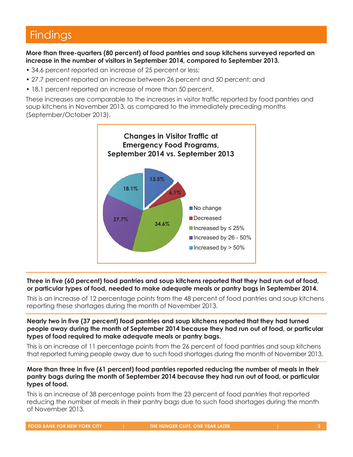# **Findings**

**More than three-quarters (80 percent) of food pantries and soup kitchens surveyed reported an**  increase in the number of visitors in September 2014, compared to September 2013.

• 34.6 percent reported an increase of 25 percent or less;

**Nearly two in five (37 percent) food pantries and soup kitchens reported that they had turned** 

- 27.7 percent reported an increase between 26 percent and 50 percent; and
- 18.1 percent reported an increase of more than 50 percent. **Findings**

These increases are comparable to the increases in visitor traffic reported by food pantries and soup kitchens in November 2013, as compared to the immediately preceding months soup kitchens in November 2013, as compared to the immediately preceding months (September/October 2013). **increase in the number of visitors in September 2014, compared to September 2013.**



pantry bags in September 2014. or particular types of food, needed to make adequate meals or pantry bags in September 2014. Three in five (60 percent) food pantries and soup kitchens reported that they had run out of food,

This is an increase of 12 percentage points from the 48 percent of food pantries and soup kitchens reporting these shortages during the month of November 2013.

Nearly two in five (37 percent) food pantries and soup kitchens reported that they had turned people away during the month of September 2014 because they had run out of food, or particular **types of food required to make adequate meals or pantry bags.**

• This is an increase of 11 percentage points from the 26 percent of food pantries and soup kitchens This is an increase of 11 percentage points from the 26 percent of food pantries and soup kitchens that reported turning people away due to such food shortages during the month of November 2013. that reported turning people away due to such food shortages during the month of November 2013.

#### More than three in five (61 percent) food pantries reported reducing the number of meals in their wore man milee in live (or percent) lood pantifies reported reducing the number of meas in meir<br>pantry bags during the month of September 2014 because they had run out of food, or particular **types of food.**

• This is an increase of 38 percentage points from the 23 percent of food pantries that reported This is an increase of 38 percentage points from the 23 percent of food pantries that reported reducing the number of meals in their pantry bags due to such food shortages during the month of November 2013.

food, needed to make adequate meals or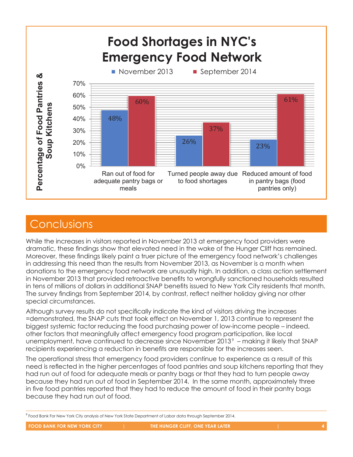

# **Conclusions**

While the increases in visitors reported in November 2013 at emergency food providers were dramatic, these findings show that elevated need in the wake of the Hunger Cliff has remained.<br>Mergeuer, these findings likely neint a truer picture of the emergency food network's oballenges. aramatic, these finalngs show that elevated need in the wake of the Hunger Clift has remained.<br>Moreover, these findings likely paint a truer picture of the emergency food network's challenges moreover, mese infigurely paint a need pientic of the emergency food network's enalieriges<br>in addressing this need than the results from November 2013, as November is a month when donations to the emergency food network are unusually high. In addition, a class action settlement aditions to the emergency tood hetwork are unusually high. In addition, a class action semement<br>in November 2013 that provided retroactive benefits to wrongfully sanctioned households resulted in tens of millions of dollars in additional SNAP benefits issued to New York City residents that month. The survey findings from September 2014, by contrast, reflect neither holiday giving nor other<br>see airl site westerness special circumstances. **Conclusions** additional SNAP benefits issued to New York City residents that month. The survey finding from the survey findi<br>The survey finding from the survey from the survey finding from the survey from the survey from the survey fin

Although survey results do not specifically indicate the kind of visitors driving the increases All loogh solvey resolls do not specifiedly fridicate the kind of visitors diffully the incredises<br>=demonstrated, the SNAP cuts that took effect on November 1, 2013 continue to represent the biggest systemic factor reducing the food purchasing power of low-income people - indeed, other factors that meaningfully affect emergency food program participation, like local<br>upomployment, have continued to decrease since November 2013? — making it likely that SNAP unemployment, have continued to decrease since November 2013<sup>9</sup> – making it likely that SNAP recipients experiencing a reduction in benefits are responsible for the increases seen. All hough survey results do not specifically indicate the kind of visitors driving the increases.<br>The special circumstance is not that took offect an Navarabar 1, 2012 continue to represent the than the results for the results form not and a month when do the state of the state of the emergency for the emergency for the emergency for the emergency for the emergency for the emergency for the emergency for the emer

The operational stress that emergency food providers continue to experience as a result of this need is reflected in the higher percentages of food pantries and soup kitchens reporting that they had run out of food for adequate meals or pantry bags or that they had to turn people away<br>because they had run out of food in Santamber 2014. In the same meath, approximately thre had furfour on food for daequate fileds of partify bags of filatifiey fidd to furfi people away.<br>because they had run out of food in September 2014. In the same month, approximately three in five food pantries reported that they had to reduce the amount of food in their pantry bags because they had run out of food.

decrease since November 20139 – making it likely that SNAP recipients experiencing a reduction in the SNAP reduction in the SNAP recipients experiencing a reduction in the SNAP recipients experiencing a reduction in the SN

<sup>9</sup> Food Bank For New York City analysis of New York State Department of Labor data through September 2014. <sup>7</sup> Food Bank For New York City analysis of New York State Department of Lal<br>————————————————————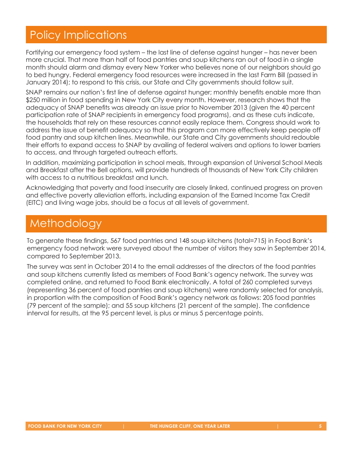# Policy Implications

Fortifying our emergency food system – the last line of defense against hunger – has never been more crucial. That more than half of food pantries and soup kitchens ran out of food in a single month should alarm and dismay every New Yorker who believes none of our neighbors should go to bed hungry. Federal emergency food resources were increased in the last Farm Bill (passed in January 2014); to respond to this crisis, our State and City governments should follow suit.

SNAP remains our nation's first line of defense against hunger; monthly benefits enable more than \$250 million in food spending in New York City every month. However, research shows that the adequacy of SNAP benefits was already an issue prior to November 2013 (given the 40 percent participation rate of SNAP recipients in emergency food programs), and as these cuts indicate, the households that rely on these resources cannot easily replace them. Congress should work to address the issue of benefit adequacy so that this program can more effectively keep people off food pantry and soup kitchen lines. Meanwhile, our State and City governments should redouble their efforts to expand access to SNAP by availing of federal waivers and options to lower barriers to access, and through targeted outreach efforts.

In addition, maximizing participation in school meals, through expansion of Universal School Meals and Breakfast after the Bell options, will provide hundreds of thousands of New York City children with access to a nutritious breakfast and lunch.

Acknowledging that poverty and food insecurity are closely linked, continued progress on proven and effective poverty alleviation efforts, including expansion of the Earned Income Tax Credit (EITC) and living wage jobs, should be a focus at all levels of government.

# Methodology

To generate these findings, 567 food pantries and 148 soup kitchens (total=715) in Food Bank's emergency food network were surveyed about the number of visitors they saw in September 2014, compared to September 2013.

The survey was sent in October 2014 to the email addresses of the directors of the food pantries and soup kitchens currently listed as members of Food Bank's agency network. The survey was completed online, and returned to Food Bank electronically. A total of 260 completed surveys (representing 36 percent of food pantries and soup kitchens) were randomly selected for analysis, in proportion with the composition of Food Bank's agency network as follows: 205 food pantries (79 percent of the sample); and 55 soup kitchens (21 percent of the sample). The confidence interval for results, at the 95 percent level, is plus or minus 5 percentage points.